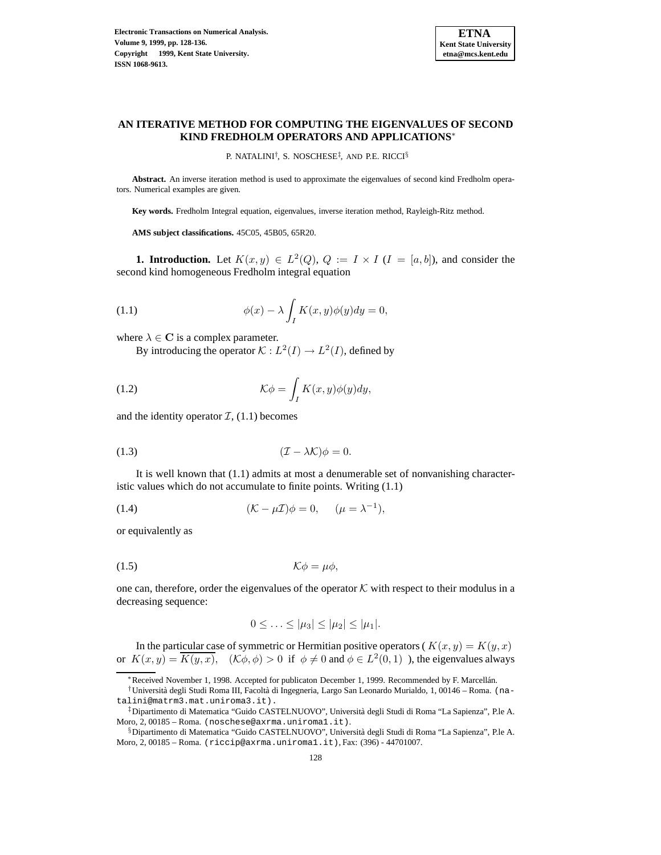

# **AN ITERATIVE METHOD FOR COMPUTING THE EIGENVALUES OF SECOND KIND FREDHOLM OPERATORS AND APPLICATIONS**<sup>∗</sup>

P. NATALINI† , S. NOSCHESE‡ , AND P.E. RICCI§

**Abstract.** An inverse iteration method is used to approximate the eigenvalues of second kind Fredholm operators. Numerical examples are given.

**Key words.** Fredholm Integral equation, eigenvalues, inverse iteration method, Rayleigh-Ritz method.

**AMS subject classifications.** 45C05, 45B05, 65R20.

**1. Introduction.** Let  $K(x, y) \in L^2(Q)$ ,  $Q := I \times I$  ( $I = [a, b]$ ), and consider the second kind homogeneous Fredholm integral equation

(1.1) 
$$
\phi(x) - \lambda \int_I K(x, y) \phi(y) dy = 0,
$$

where  $\lambda \in \mathbf{C}$  is a complex parameter.

By introducing the operator  $K : L^2(I) \to L^2(I)$ , defined by

(1.2) 
$$
\mathcal{K}\phi = \int_I K(x,y)\phi(y)dy,
$$

and the identity operator  $\mathcal{I}$ , (1.1) becomes

(1.3) 
$$
(\mathcal{I} - \lambda \mathcal{K})\phi = 0.
$$

It is well known that (1.1) admits at most a denumerable set of nonvanishing characteristic values which do not accumulate to finite points. Writing (1.1)

(1.4) 
$$
(\mathcal{K} - \mu \mathcal{I})\phi = 0, \quad (\mu = \lambda^{-1}),
$$

or equivalently as

$$
K\phi = \mu\phi,
$$

one can, therefore, order the eigenvalues of the operator  $K$  with respect to their modulus in a decreasing sequence:

$$
0 \leq \ldots \leq |\mu_3| \leq |\mu_2| \leq |\mu_1|.
$$

In the particular case of symmetric or Hermitian positive operators ( $K(x, y) = K(y, x)$ ) or  $K(x, y) = \overline{K(y, x)}$ ,  $(\mathcal{K}\phi, \phi) > 0$  if  $\phi \neq 0$  and  $\phi \in L^2(0, 1)$  ), the eigenvalues always

<sup>∗</sup>Received November 1, 1998. Accepted for publicaton December 1, 1999. Recommended by F. Marcell´an.

<sup>†</sup>Universit`a degli Studi Roma III, Facolt`a di Ingegneria, Largo San Leonardo Murialdo, 1, 00146 – Roma. (natalini@matrm3.mat.uniroma3.it).

<sup>‡</sup>Dipartimento di Matematica "Guido CASTELNUOVO", Universit`a degli Studi di Roma "La Sapienza", P.le A. Moro, 2, 00185 – Roma. (noschese@axrma.uniroma1.it).

<sup>§</sup>Dipartimento di Matematica "Guido CASTELNUOVO", Università degli Studi di Roma "La Sapienza", P.le A. Moro, 2, 00185 – Roma. (riccip@axrma.uniroma1.it), Fax: (396) - 44701007.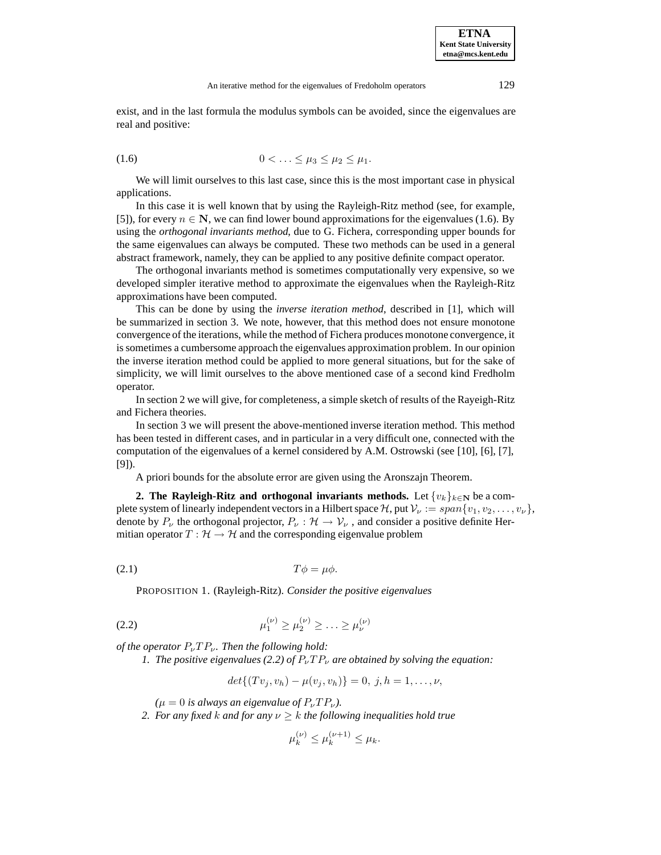exist, and in the last formula the modulus symbols can be avoided, since the eigenvalues are real and positive:

$$
(1.6) \qquad \qquad 0 < \ldots \leq \mu_3 \leq \mu_2 \leq \mu_1.
$$

We will limit ourselves to this last case, since this is the most important case in physical applications.

In this case it is well known that by using the Rayleigh-Ritz method (see, for example, [5]), for every  $n \in \mathbb{N}$ , we can find lower bound approximations for the eigenvalues (1.6). By using the *orthogonal invariants method*, due to G. Fichera, corresponding upper bounds for the same eigenvalues can always be computed. These two methods can be used in a general abstract framework, namely, they can be applied to any positive definite compact operator.

The orthogonal invariants method is sometimes computationally very expensive, so we developed simpler iterative method to approximate the eigenvalues when the Rayleigh-Ritz approximations have been computed.

This can be done by using the *inverse iteration method*, described in [1], which will be summarized in section 3. We note, however, that this method does not ensure monotone convergence of the iterations, while the method of Fichera produces monotone convergence, it is sometimes a cumbersome approach the eigenvalues approximation problem. In our opinion the inverse iteration method could be applied to more general situations, but for the sake of simplicity, we will limit ourselves to the above mentioned case of a second kind Fredholm operator.

In section 2 we will give, for completeness, a simple sketch of results of the Rayeigh-Ritz and Fichera theories.

In section 3 we will present the above-mentioned inverse iteration method. This method has been tested in different cases, and in particular in a very difficult one, connected with the computation of the eigenvalues of a kernel considered by A.M. Ostrowski (see [10], [6], [7], [9]).

A priori bounds for the absolute error are given using the Aronszajn Theorem.

**2. The Rayleigh-Ritz and orthogonal invariants methods.** Let  $\{v_k\}_{k\in\mathbb{N}}$  be a complete system of linearly independent vectors in a Hilbert space H, put  $V_{\nu} := span\{v_1, v_2, \dots, v_{\nu}\}\$ denote by  $P_{\nu}$  the orthogonal projector,  $P_{\nu} : \mathcal{H} \to \mathcal{V}_{\nu}$ , and consider a positive definite Hermitian operator  $T : \mathcal{H} \to \mathcal{H}$  and the corresponding eigenvalue problem

(2.1)  $T\phi = \mu\phi$ .

PROPOSITION 1. (Rayleigh-Ritz). *Consider the positive eigenvalues*

(2.2) 
$$
\mu_1^{(\nu)} \ge \mu_2^{(\nu)} \ge \ldots \ge \mu_\nu^{(\nu)}
$$

*of the operator*  $P_{\nu}TP_{\nu}$ *. Then the following hold:* 

*1. The positive eigenvalues (2.2) of*  $P_{\nu}TP_{\nu}$  *are obtained by solving the equation:* 

$$
det\{(Tv_j,v_h)-\mu(v_j,v_h)\}=0, j,h=1,\ldots,\nu,
$$

 $(\mu = 0$  *is always an eigenvalue of*  $P_{\nu}TP_{\nu}$ *).* 

*2. For any fixed k and for any*  $\nu \geq k$  *the following inequalities hold true* 

$$
\mu_k^{(\nu)} \le \mu_k^{(\nu+1)} \le \mu_k.
$$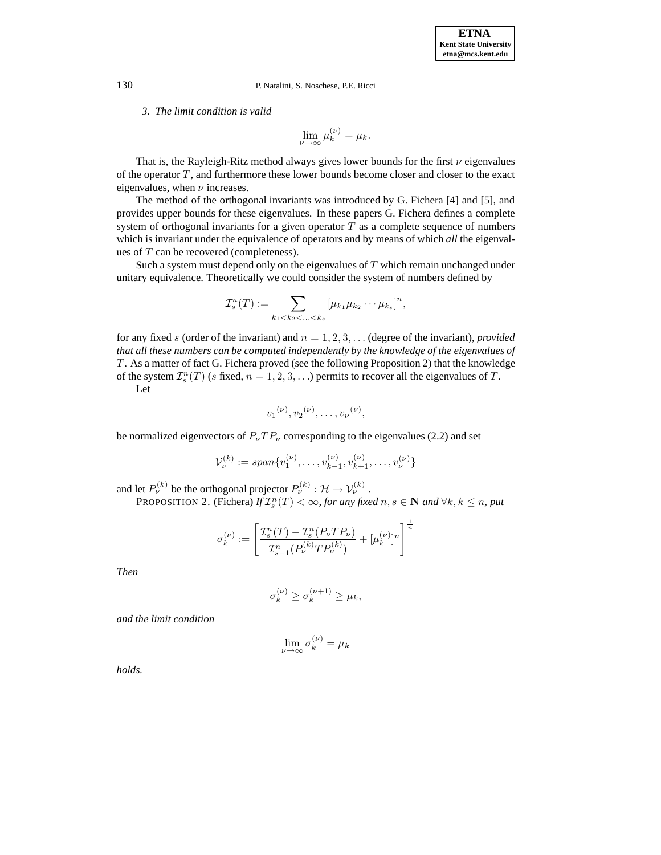## *3. The limit condition is valid*

$$
\lim_{\nu \to \infty} \mu_k^{(\nu)} = \mu_k.
$$

That is, the Rayleigh-Ritz method always gives lower bounds for the first  $\nu$  eigenvalues of the operator  $T$ , and furthermore these lower bounds become closer and closer to the exact eigenvalues, when  $\nu$  increases.

The method of the orthogonal invariants was introduced by G. Fichera [4] and [5], and provides upper bounds for these eigenvalues. In these papers G. Fichera defines a complete system of orthogonal invariants for a given operator  $T$  as a complete sequence of numbers which is invariant under the equivalence of operators and by means of which *all* the eigenvalues of T can be recovered (completeness).

Such a system must depend only on the eigenvalues of  $T$  which remain unchanged under unitary equivalence. Theoretically we could consider the system of numbers defined by

$$
\mathcal{I}_s^n(T) := \sum_{k_1 < k_2 < \ldots < k_s} \left[ \mu_{k_1} \mu_{k_2} \cdots \mu_{k_s} \right]^n,
$$

for any fixed s (order of the invariant) and  $n = 1, 2, 3, \ldots$  (degree of the invariant), *provided that all these numbers can be computed independently by the knowledge of the eigenvalues of* T . As a matter of fact G. Fichera proved (see the following Proposition 2) that the knowledge of the system  $\mathcal{I}_s^n(T)$  (s fixed,  $n = 1, 2, 3, \ldots$ ) permits to recover all the eigenvalues of T.  $\bf I$ 

$$
\mathsf{Let}\,
$$

$$
v_1^{(\nu)}, v_2^{(\nu)}, \ldots, v_{\nu}^{(\nu)},
$$

be normalized eigenvectors of  $P_{\nu}TP_{\nu}$  corresponding to the eigenvalues (2.2) and set

$$
\mathcal{V}_{\nu}^{(k)} := span\{v_1^{(\nu)}, \dots, v_{k-1}^{(\nu)}, v_{k+1}^{(\nu)}, \dots, v_{\nu}^{(\nu)}\}\
$$

and let  $P_{\nu}^{(k)}$  be the orthogonal projector  $P_{\nu}^{(k)}$  :  $\mathcal{H} \rightarrow \mathcal{V}_{\nu}^{(k)}$ .

PROPOSITION 2. (Fichera)  $\hat{H}^n(\hat{T}) < \infty$ , for any fixed  $n, s \in \mathbb{N}$  and  $\forall k, k \leq n$ , put

$$
\sigma_k^{(\nu)} := \left[ \frac{\mathcal{I}_s^n(T) - \mathcal{I}_s^n(P_{\nu}TP_{\nu})}{\mathcal{I}_{s-1}^n(P_{\nu}^{(k)}TP_{\nu}^{(k)})} + [\mu_k^{(\nu)}]^n \right]^{\frac{1}{n}}
$$

*Then*

$$
\sigma_k^{(\nu)} \ge \sigma_k^{(\nu+1)} \ge \mu_k,
$$

*and the limit condition*

$$
\lim_{\nu \to \infty} \sigma_k^{(\nu)} = \mu_k
$$

*holds.*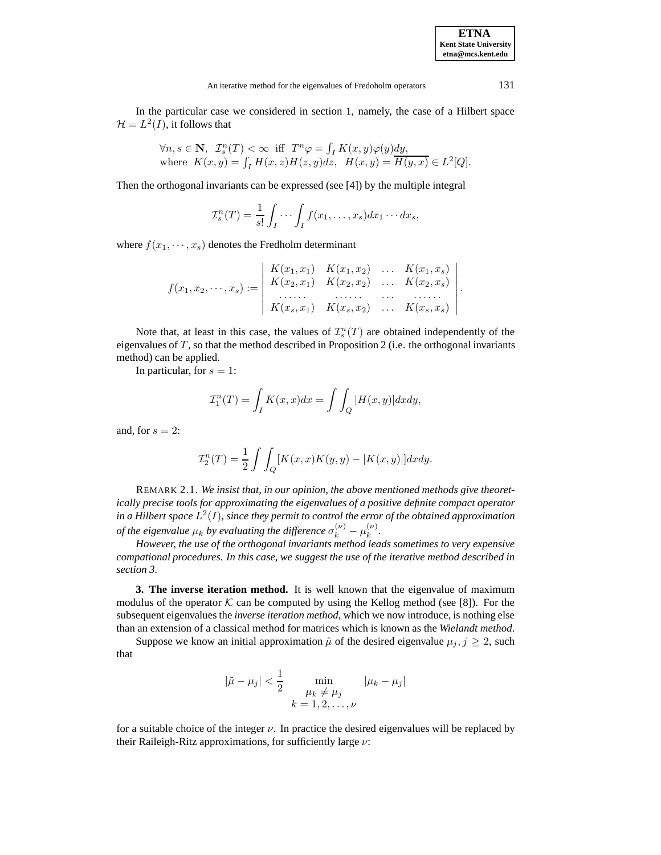**ETNA Kent State University etna@mcs.kent.edu**

.

In the particular case we considered in section 1, namely, the case of a Hilbert space  $\mathcal{H} = L^2(I)$ , it follows that

$$
\forall n, s \in \mathbf{N}, \ T_s^n(T) < \infty \ \text{iff} \ T^n \varphi = \int_I K(x, y) \varphi(y) \, dy, \\ \text{where} \ K(x, y) = \int_I H(x, z) H(z, y) \, dz, \ H(x, y) = \overline{H(y, x)} \in L^2[Q].
$$

Then the orthogonal invariants can be expressed (see [4]) by the multiple integral

$$
\mathcal{I}_s^n(T) = \frac{1}{s!} \int_I \cdots \int_I f(x_1, \ldots, x_s) dx_1 \cdots dx_s,
$$

where  $f(x_1, \dots, x_s)$  denotes the Fredholm determinant

$$
f(x_1, x_2, \dots, x_s) := \begin{vmatrix} K(x_1, x_1) & K(x_1, x_2) & \dots & K(x_1, x_s) \\ K(x_2, x_1) & K(x_2, x_2) & \dots & K(x_2, x_s) \\ \dots & \dots & \dots & \dots & \dots \\ K(x_s, x_1) & K(x_s, x_2) & \dots & K(x_s, x_s) \end{vmatrix}
$$

Note that, at least in this case, the values of  $\mathcal{I}_s^n(T)$  are obtained independently of the proposition of  $T$  so that the method described in Proposition 2 (i.e. the orthogonal invariants eigenvalues of  $T$ , so that the method described in Proposition 2 (i.e. the orthogonal invariants method) can be applied.

In particular, for  $s = 1$ :

$$
\mathcal{I}_1^n(T) = \int_I K(x, x) dx = \int \int_Q |H(x, y)| dx dy,
$$

and, for  $s = 2$ :

$$
\mathcal{I}_2^n(T) = \frac{1}{2} \int \int_Q [K(x,x)K(y,y) - |K(x,y)|] dx dy.
$$

REMARK 2.1. *We insist that, in our opinion, the above mentioned methods give theoretically precise tools for approximating the eigenvalues of a positive definite compact operator in a Hilbert space*  $L^2(I)$ *, since they permit to control the error of the obtained approximation of the eigenvalue*  $\mu_k$  *by evaluating the difference*  $\sigma_k^{(\nu)} - \mu_k^{(\nu)}$ .

*However, the use of the orthogonal invariants method leads sometimes to very expensive compational procedures. In this case, we suggest the use of the iterative method described in section 3.*

**3. The inverse iteration method.** It is well known that the eigenvalue of maximum modulus of the operator  $K$  can be computed by using the Kellog method (see [8]). For the subsequent eigenvalues the *inverse iteration method*, which we now introduce, is nothing else than an extension of a classical method for matrices which is known as the *Wielandt method*.

Suppose we know an initial approximation  $\tilde{\mu}$  of the desired eigenvalue  $\mu_j$ ,  $j \geq 2$ , such that

$$
|\tilde{\mu} - \mu_j| < \frac{1}{2}
$$
 min  $\mu_k \neq \mu_j$   
\n $k = 1, 2, ..., \nu$ 

for a suitable choice of the integer  $\nu$ . In practice the desired eigenvalues will be replaced by their Raileigh-Ritz approximations, for sufficiently large  $\nu$ :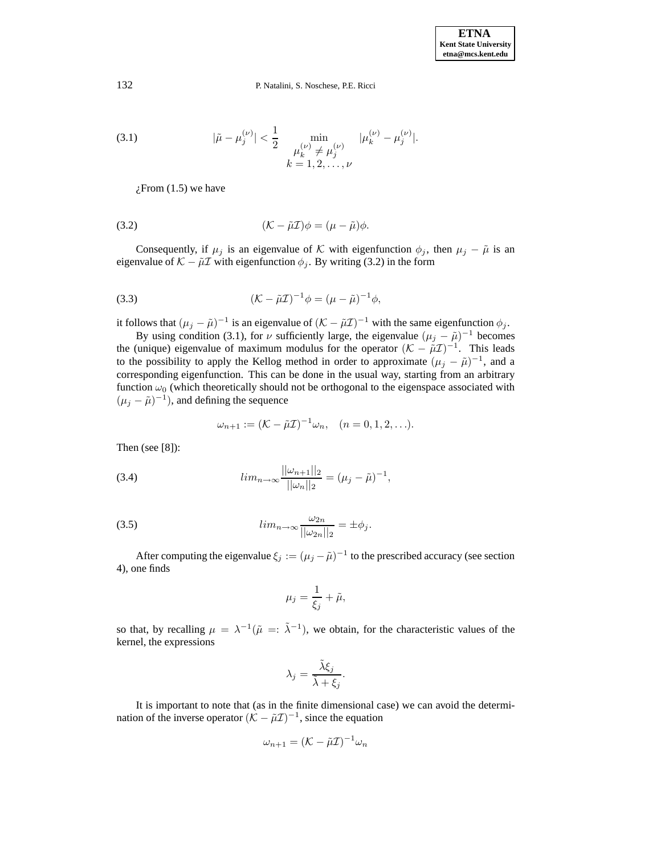(3.1) 
$$
|\tilde{\mu} - \mu_j^{(\nu)}| < \frac{1}{2} \min_{\substack{\mu_k^{(\nu)} \neq \mu_j^{(\nu)} \\ k = 1, 2, ..., \nu}} |\mu_k^{(\nu)} - \mu_j^{(\nu)}|.
$$

 $i$ From (1.5) we have

(3.2) 
$$
(\mathcal{K} - \tilde{\mu}\mathcal{I})\phi = (\mu - \tilde{\mu})\phi.
$$

Consequently, if  $\mu_j$  is an eigenvalue of K with eigenfunction  $\phi_j$ , then  $\mu_j - \tilde{\mu}$  is an eigenvalue of  $K - \tilde{\mu} \mathcal{I}$  with eigenfunction  $\phi_j$ . By writing (3.2) in the form

(3.3) 
$$
(\mathcal{K} - \tilde{\mu}\mathcal{I})^{-1}\phi = (\mu - \tilde{\mu})^{-1}\phi,
$$

it follows that  $(\mu_j - \tilde{\mu})^{-1}$  is an eigenvalue of  $(K - \tilde{\mu} \tilde{\mu})^{-1}$  with the same eigenfunction  $\phi_j$ .<br>By using condition (3.1), for  $\mu$  sufficiently large, the eigenvalue  $(\mu_j - \tilde{\mu})^{-1}$  becomes

By using condition (3.1), for *ν* sufficiently large, the eigenvalue  $(\mu_j - \tilde{\mu})^{-1}$  becomes (unique) eigenvalue of maximum modulus for the operator  $(K - \tilde{\mu} \tau)^{-1}$ . This leads the (unique) eigenvalue of maximum modulus for the operator  $(K - \tilde{\mu}L)^{-1}$ . This leads<br>to the possibility to apply the Kellog method in order to approximate  $(\mu - \tilde{\mu})^{-1}$  and a to the possibility to apply the Kellog method in order to approximate  $(\mu_j - \tilde{\mu})^{-1}$ , and a corresponding eigenfunction. This can be done in the usual way, starting from an arbitrary function  $\omega_0$  (which theoretically should not be orthogonal to the eigenspace associated with  $(\mu_j - \tilde{\mu})^{-1}$ ), and defining the sequence

$$
\omega_{n+1} := (\mathcal{K} - \tilde{\mu}\mathcal{I})^{-1}\omega_n, \quad (n = 0, 1, 2, \ldots).
$$

Then (see [8]):

(3.4) 
$$
\lim_{n \to \infty} \frac{||\omega_{n+1}||_2}{||\omega_n||_2} = (\mu_j - \tilde{\mu})^{-1},
$$

(3.5) 
$$
lim_{n\to\infty}\frac{\omega_{2n}}{||\omega_{2n}||_2}=\pm\phi_j.
$$

After computing the eigenvalue  $\xi_j := (\mu_j - \tilde{\mu})^{-1}$  to the prescribed accuracy (see section 4), one finds

$$
\mu_j = \frac{1}{\xi_j} + \tilde{\mu},
$$

so that, by recalling  $\mu = \lambda^{-1}(\tilde{\mu} =: \tilde{\lambda}^{-1})$ , we obtain, for the characteristic values of the kernel, the expressions

$$
\lambda_j = \frac{\tilde{\lambda}\xi_j}{\tilde{\lambda} + \xi_j}.
$$

It is important to note that (as in the finite dimensional case) we can avoid the determination of the inverse operator  $(K - \tilde{\mu} \mathcal{I})^{-1}$ , since the equation

$$
\omega_{n+1} = (\mathcal{K} - \tilde{\mu}\mathcal{I})^{-1}\omega_n
$$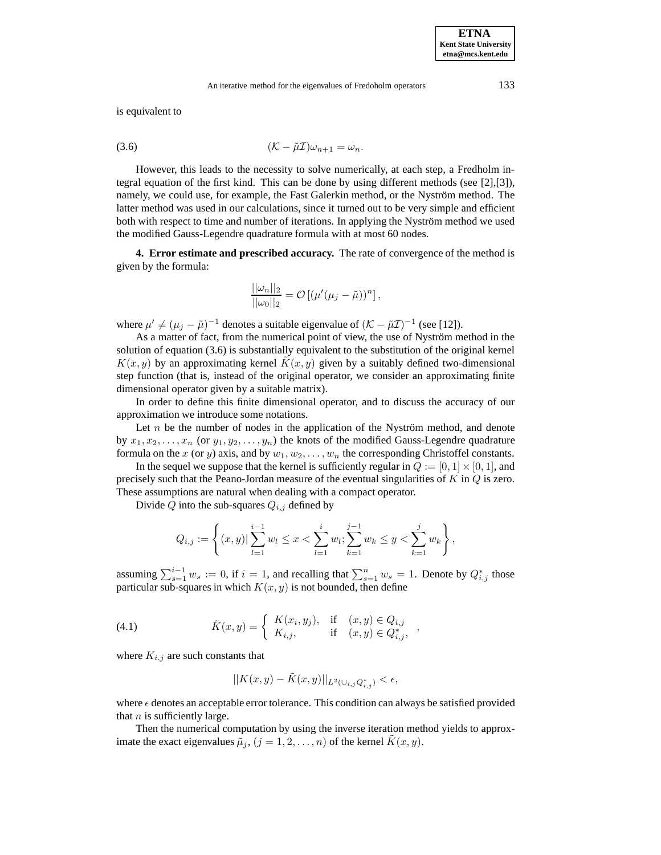is equivalent to

(3.6) 
$$
(\mathcal{K} - \tilde{\mu}\mathcal{I})\omega_{n+1} = \omega_n.
$$

However, this leads to the necessity to solve numerically, at each step, a Fredholm integral equation of the first kind. This can be done by using different methods (see [2],[3]), namely, we could use, for example, the Fast Galerkin method, or the Nyström method. The latter method was used in our calculations, since it turned out to be very simple and efficient both with respect to time and number of iterations. In applying the Nyström method we used the modified Gauss-Legendre quadrature formula with at most 60 nodes.

**4. Error estimate and prescribed accuracy.** The rate of convergence of the method is given by the formula:

$$
\frac{||\omega_n||_2}{||\omega_0||_2} = \mathcal{O}\left[ (\mu'(\mu_j - \tilde{\mu}))^n \right],
$$

where  $\mu' \neq (\mu_j - \tilde{\mu})^{-1}$  denotes a suitable eigenvalue of  $(K - \tilde{\mu}\mathcal{I})^{-1}$  (see [12]).

As a matter of fact, from the numerical point of view, the use of Nyström method in the solution of equation (3.6) is substantially equivalent to the substitution of the original kernel  $K(x, y)$  by an approximating kernel  $K(x, y)$  given by a suitably defined two-dimensional step function (that is, instead of the original operator, we consider an approximating finite dimensional operator given by a suitable matrix).

In order to define this finite dimensional operator, and to discuss the accuracy of our approximation we introduce some notations.

Let  $n$  be the number of nodes in the application of the Nyström method, and denote by  $x_1, x_2, \ldots, x_n$  (or  $y_1, y_2, \ldots, y_n$ ) the knots of the modified Gauss-Legendre quadrature formula on the x (or y) axis, and by  $w_1, w_2, \ldots, w_n$  the corresponding Christoffel constants.

In the sequel we suppose that the kernel is sufficiently regular in  $Q := [0, 1] \times [0, 1]$ , and precisely such that the Peano-Jordan measure of the eventual singularities of  $K$  in  $Q$  is zero. These assumptions are natural when dealing with a compact operator.

Divide Q into the sub-squares  $Q_{i,j}$  defined by

$$
Q_{i,j} := \left\{ (x,y) | \sum_{l=1}^{i-1} w_l \leq x < \sum_{l=1}^{i} w_l; \sum_{k=1}^{j-1} w_k \leq y < \sum_{k=1}^{j} w_k \right\},
$$

assuming  $\sum_{s=1}^{i-1} w_s := 0$ , if  $i = 1$ , and recalling that  $\sum_{s=1}^{n} w_s = 1$ . Denote by  $Q_{i,j}^*$  those particular sub-squares in which  $K(x, y)$  is not bounded, then define

(4.1) 
$$
\tilde{K}(x, y) = \begin{cases} K(x_i, y_j), & \text{if } (x, y) \in Q_{i,j} \\ K_{i,j}, & \text{if } (x, y) \in Q_{i,j}^*, \end{cases}
$$

where  $K_{i,j}$  are such constants that

$$
||K(x,y) - \tilde{K}(x,y)||_{L^2(\cup_{i,j} Q^*_{i,j})} < \epsilon,
$$

where  $\epsilon$  denotes an acceptable error tolerance. This condition can always be satisfied provided that  $n$  is sufficiently large.

Then the numerical computation by using the inverse iteration method yields to approximate the exact eigenvalues  $\tilde{\mu}_j$ ,  $(j = 1, 2, ..., n)$  of the kernel  $K(x, y)$ .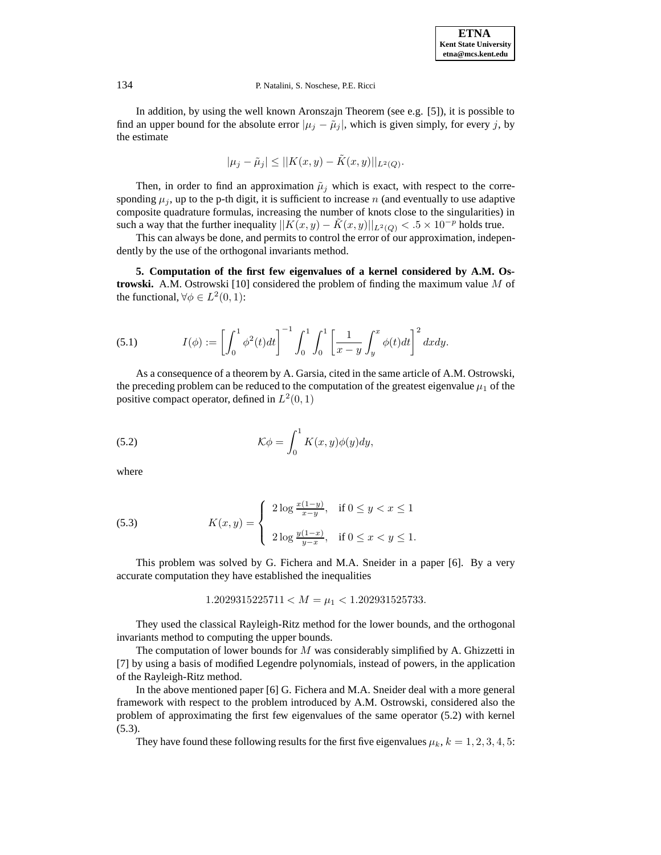In addition, by using the well known Aronszajn Theorem (see e.g. [5]), it is possible to find an upper bound for the absolute error  $|\mu_j - \tilde{\mu}_j|$ , which is given simply, for every j, by the estimate

$$
|\mu_j - \tilde{\mu}_j| \leq ||K(x, y) - \tilde{K}(x, y)||_{L^2(Q)}.
$$

Then, in order to find an approximation  $\tilde{\mu}_j$  which is exact, with respect to the corresponding  $\mu_i$ , up to the p-th digit, it is sufficient to increase n (and eventually to use adaptive composite quadrature formulas, increasing the number of knots close to the singularities) in such a way that the further inequality  $||K(x,y) - K(x,y)||_{L^2(Q)} < .5 \times 10^{-p}$  holds true.

This can always be done, and permits to control the error of our approximation, independently by the use of the orthogonal invariants method.

**5. Computation of the first few eigenvalues of a kernel considered by A.M. Ostrowski.** A.M. Ostrowski [10] considered the problem of finding the maximum value M of the functional,  $\forall \phi \in L^2(0,1)$ :

(5.1) 
$$
I(\phi) := \left[ \int_0^1 \phi^2(t) dt \right]^{-1} \int_0^1 \int_0^1 \left[ \frac{1}{x - y} \int_y^x \phi(t) dt \right]^2 dx dy.
$$

As a consequence of a theorem by A. Garsia, cited in the same article of A.M. Ostrowski, the preceding problem can be reduced to the computation of the greatest eigenvalue  $\mu_1$  of the positive compact operator, defined in  $L^2(0,1)$ 

(5.2) 
$$
\mathcal{K}\phi = \int_0^1 K(x,y)\phi(y)dy,
$$

where

(5.3) 
$$
K(x,y) = \begin{cases} 2\log \frac{x(1-y)}{x-y}, & \text{if } 0 \le y < x \le 1 \\ 2\log \frac{y(1-x)}{y-x}, & \text{if } 0 \le x < y \le 1. \end{cases}
$$

This problem was solved by G. Fichera and M.A. Sneider in a paper [6]. By a very accurate computation they have established the inequalities

1.2029315225711 <  $M = \mu_1$  < 1.202931525733.

They used the classical Rayleigh-Ritz method for the lower bounds, and the orthogonal invariants method to computing the upper bounds.

The computation of lower bounds for  $M$  was considerably simplified by A. Ghizzetti in [7] by using a basis of modified Legendre polynomials, instead of powers, in the application of the Rayleigh-Ritz method.

In the above mentioned paper [6] G. Fichera and M.A. Sneider deal with a more general framework with respect to the problem introduced by A.M. Ostrowski, considered also the problem of approximating the first few eigenvalues of the same operator (5.2) with kernel (5.3).

They have found these following results for the first five eigenvalues  $\mu_k$ ,  $k = 1, 2, 3, 4, 5$ :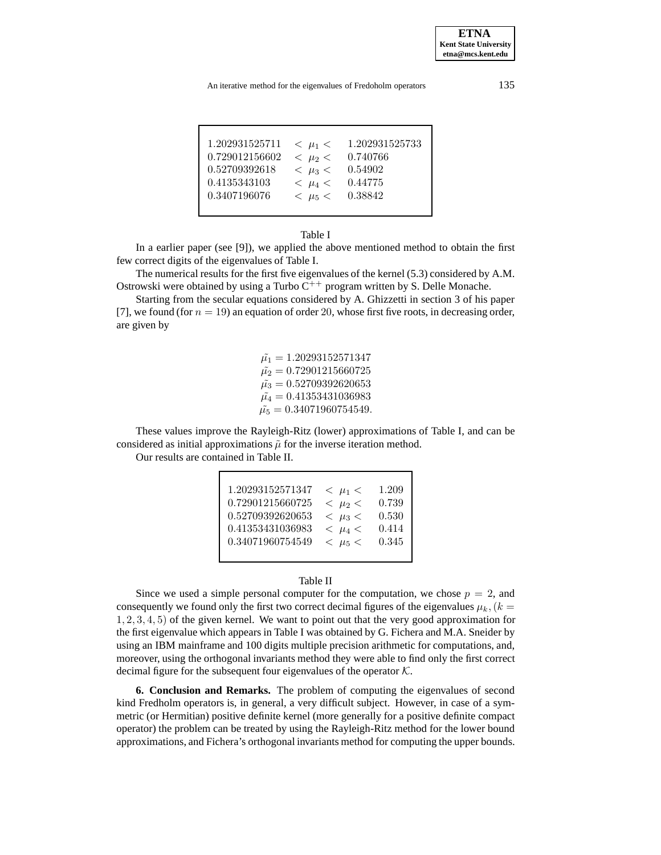**ETNA Kent State University etna@mcs.kent.edu**

| 1.202931525711 | $<$ $\mu_1$ $<$ | 1.202931525733 |
|----------------|-----------------|----------------|
| 0.729012156602 | $<$ $\mu_2$ $<$ | 0.740766       |
| 0.52709392618  | $<$ $\mu_3$ $<$ | 0.54902        |
| 0.4135343103   | $<$ $\mu_4$ $<$ | 0.44775        |
| 0.3407196076   | $<$ $\mu_5$ $<$ | 0.38842        |
|                |                 |                |

# Table I

In a earlier paper (see [9]), we applied the above mentioned method to obtain the first few correct digits of the eigenvalues of Table I.

The numerical results for the first five eigenvalues of the kernel (5.3) considered by A.M. Ostrowski were obtained by using a Turbo  $C^{++}$  program written by S. Delle Monache.

Starting from the secular equations considered by A. Ghizzetti in section 3 of his paper [7], we found (for  $n = 19$ ) an equation of order 20, whose first five roots, in decreasing order, are given by

> $\tilde{\mu_1} = 1.20293152571347$  $\tilde{\mu_2} = 0.72901215660725$  $\tilde{\mu_3} = 0.52709392620653$  $\tilde{\mu_4} = 0.41353431036983$  $\tilde{\mu_5} = 0.34071960754549.$

These values improve the Rayleigh-Ritz (lower) approximations of Table I, and can be considered as initial approximations  $\tilde{\mu}$  for the inverse iteration method.

Our results are contained in Table II.

| 0.34071960754549<br>0.345<br>$<$ $\mu$ <sub>5</sub> $<$ |  | 1.20293152571347<br>0.72901215660725<br>0.52709392620653<br>0.41353431036983 | $<$ $\mu_1$ $<$<br>$<$ $\mu_2$ $<$<br>$<$ $\mu_3$ $<$<br>$< \mu_4$ | 1.209<br>0.739<br>0.530<br>0.414 |
|---------------------------------------------------------|--|------------------------------------------------------------------------------|--------------------------------------------------------------------|----------------------------------|
|---------------------------------------------------------|--|------------------------------------------------------------------------------|--------------------------------------------------------------------|----------------------------------|

### Table II

Since we used a simple personal computer for the computation, we chose  $p = 2$ , and consequently we found only the first two correct decimal figures of the eigenvalues  $\mu_k$ ,  $(k =$ 1, 2, 3, 4, 5) of the given kernel. We want to point out that the very good approximation for the first eigenvalue which appears in Table I was obtained by G. Fichera and M.A. Sneider by using an IBM mainframe and 100 digits multiple precision arithmetic for computations, and, moreover, using the orthogonal invariants method they were able to find only the first correct decimal figure for the subsequent four eigenvalues of the operator  $K$ .

**6. Conclusion and Remarks.** The problem of computing the eigenvalues of second kind Fredholm operators is, in general, a very difficult subject. However, in case of a symmetric (or Hermitian) positive definite kernel (more generally for a positive definite compact operator) the problem can be treated by using the Rayleigh-Ritz method for the lower bound approximations, and Fichera's orthogonal invariants method for computing the upper bounds.